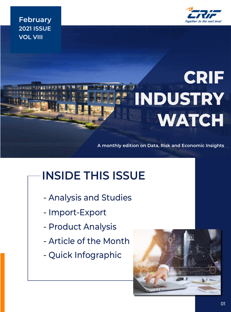

**February 2021 ISSUE VOL VIII**

# **CRIF INDUSTRY WATCH**

**A monthly edition on Data, Risk and Economic Insights**

# **INSIDE THIS ISSUE**

- Analysis and Studies
- Import-Export
- Product Analysis
- Article of the Month
- Quick Infographic

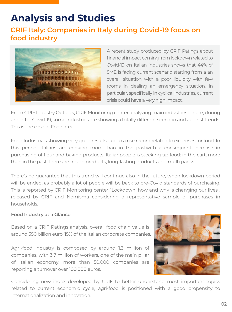### **Analysis and Studies**

### **CRIF Italy: Companies in Italy during Covid-19 focus on food industry**



A recent study produced by CRIF Ratings about financial impact coming from lockdown related to Covid-19 on Italian industries shows that 44% of SME is facing current scenario starting from a an overall situation with a poor liquidity with few rooms in dealing an emergency situation. In particular, specifically in cyclical industries, current crisis could have a very high impact.

From CRIF Industry Outlook, CRIF Monitoring center analyzing main industries before, during and after Covid-19, some industries are showing a totally different scenario and against trends. This is the case of Food area.

Food Industry is showing very good results due to a rise record related to expenses for food. In this period, Italians are cooking more than in the pastwith a consequent increase in purchasing of flour and baking products. Italianpeople is stocking up food: in the cart, more than in the past, there are frozen products, long-lasting products and multi packs.

There's no guarantee that this trend will continue also in the future, when lockdown period will be ended, as probably a lot of people will be back to pre-Covid standards of purchasing. This is reported by CRIF Monitoring center "Lockdown, how and why is changing our lives", released by CRIF and Nomisma considering a representative sample of purchases in households.

#### **Food Industry at a Glance**

Based on a CRIF Ratings analysis, overall food chain value is around 350 billion euro, 15% of the Italian corporate companies.

Agri-food industry is composed by around 1.3 million of companies, with 3.7 million of workers, one of the main pillar of Italian economy: more than 50.000 companies are reporting a turnover over 100.000 euros.



Considering new index developed by CRIF to better understand most important topics related to current economic cycle, agri-food is positioned with a good propensity to internationalization and innovation.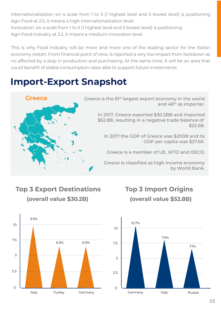Internationalization: on a scale from 1 to 5 (1 highest level and 5 lowest level) is positioning Agri-Food at 2.5, it means a high internationalization level.

Innovation: on a scale from 1 to 5 (1 highest level and 5 lowest level) is positioning Agri-Food industry at 3.2, it means a medium innovation level.

This is why Food industry will be more and more one of the leading sector for the Italian economy restart. From financial point of view, is reported a very low impact from lockdown as no affected by a stop in production and purchasing. At the same time, it will be an area that could benefit of stable consumption rates able to support future investments.

### **Import-Export Snapshot**



### **Top 3 Export Destinations (overall value \$30.2B)**





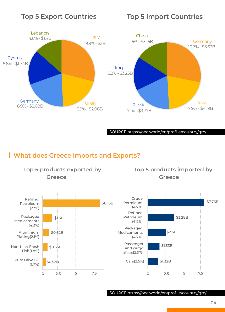### **Top 5 Export Countries Top 5 Import Countries**



SOURCE:https://oec.world/en/profile/country/grc/

#### **What does Greece Imports and Exports?**



SOURCE:https://oec.world/en/profile/country/grc/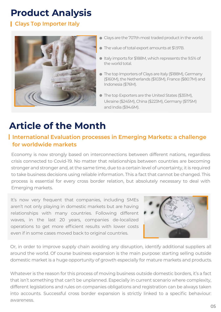# **Product Analysis**

#### **Clays Top Importer Italy**



- Clays are the 707th most traded product in the world.
- The value of total export amounts at \$1.97B.
- Italy imports for \$188M, which represents the 9.5% of the world total.
- The top Importers of Clays are Italy (\$188M), Germany (\$160M), the Netherlands (\$103M), France (\$80.7M) and Indonesia (\$76M).
- The top Exporters are the United States (\$351M), Ukraine (\$245M), China (\$223M), Germany (\$175M) and India (\$94.6M).

## **Article of the Month**

#### **International Evaluation processes in Emerging Markets: a challenge for worldwide markets**

Economy is now strongly based on interconnections between different nations, regardless crisis connected to Covid-19. No matter that relationships between countries are becoming stronger and stronger and, at the same time, due to a certain level of uncertainty, it is required to take business decisions using reliable information. This a fact that cannot be changed. This process is essential for every cross border relation, but absolutely necessary to deal with Emerging markets.

It's now very frequent that companies, including SMEs aren't not only playing in domestic markets but are having relationships with many countries. Following different waves, in the last 20 years, companies de-localized operations to get more efficient results with lower costs even if in some cases moved back to original countries.



Or, in order to improve supply chain avoiding any disruption, identify additional suppliers all around the world. Of course business expansion is the main purpose: starting selling outside domestic market is a huge opportunity of growth especially for mature markets and products.

Whatever is the reason for this process of moving business outside domestic borders, it's a fact that isn't something that can't be unplanned. Especially in current scenario where complexity, different legislations and rules on companies obligations and registration can be always taken into accounts. Successful cross border expansion is strictly linked to a specific behaviour: awareness.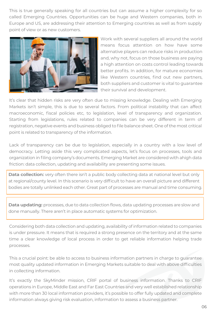This is true generally speaking for all countries but can assume a higher complexity for so called Emerging Countries. Opportunities can be huge and Western companies, both in Europe and US, are addressing their attention to Emerging countries as well as from supply point of view or as new customers.



Work with several suppliers all around the world means focus attention on how have some alternative players can reduce risks in production and, why not, focus on those business are paying a high attention on costs control leading towards better profits. In addition, for mature economies like Western countries, find out new partners, both suppliers and customer is vital to guarantee their survival and development.

It's clear that hidden risks are very often due to missing knowledge. Dealing with Emerging Markets isn't simple, this is due to several factors. From political instability that can affect macroeconomic, fiscal policies etc, to legislation, level of transparency and organization. Starting from legislations, rules related to companies can be very different in term of registration, negative events and business obliged to file balance sheet. One of the most critical point is related to transparency of the information.

Lack of transparency can be due to legislation, especially in a country with a low level of democracy. Letting aside this very complicated aspects, let's focus on processes, tools and organization in filing company's documents. Emerging Market are considered with ahigh data friction: data collection, updating and availability are presenting some issues.

**Data collection:** very often there isn't a public body collecting data at national level but only at regional/county level. In this scenario is very difficult to have an overall picture and different bodies are totally unlinked each other. Great part of processes are manual and time consuming.

**Data updating:** processes, due to data collection flows, data updating processes are slow and done manually. There aren't in place automatic systems for optimization.

Considering both data collection and updating, availability of information related to companies is under pressure. It means that is required a strong presence on the territory and at the same time a clear knowledge of local process in order to get reliable information helping trade processes.

This a crucial point: be able to access to business information partners in charge to guarantee most quality updated information in Emerging Markets suitable to deal with above difficulties in collecting information.

It's exactly the SkyMinder mission, CRIF portal of business information. Thanks to CRIF operations in Europe, Middle East and Far East Countries and very well established relationship with more than 30 local information providers, it's possible to offer fully updated and complete information always giving risk evaluation, information to assess a business partner.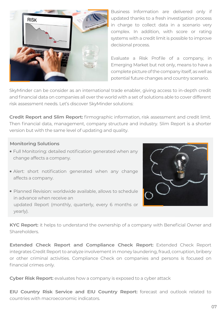

Business Information are delivered only if updated thanks to a fresh investigation process in charge to collect data in a scenario very complex. In addition, with score or rating systems with a credit limit is possible to improve decisional process.

Evaluate a Risk Profile of a company, in Emerging Market but not only, means to have a complete picture of the company itself, as well as potential future changes and country scenario.

SkyMinder can be consider as an international trade enabler, giving access to in-depth credit and financial data on companies all over the world with a set of solutions able to cover different risk assessment needs. Let's discover SkyMinder solutions:

**Credit Report and Slim Report:** firmographic information, risk assessment and credit limit. Then financial data, management, company structure and industry. Slim Report is a shorter version but with the same level of updating and quality.

#### **Monitoring Solutions**

- Full Monitoring: detailed notification generated when any change affects a company.
- Alert: short notification generated when any change affects a company.
- Planned Revision: worldwide available, allows to schedule in advance when receive an updated Report (monthly, quarterly, every 6 months or yearly).



**KYC Report:** it helps to understand the ownership of a company with Beneficial Owner and Shareholders.

**Extended Check Report and Compliance Check Report:** Extended Check Report integrates Credit Report to analyze involvement in money laundering, fraud, corruption, bribery or other criminal activities. Compliance Check on companies and persons is focused on financial crimes only.

**Cyber Risk Report:** evaluates how a company is exposed to a cyber attack

**EIU Country Risk Service and EIU Country Report:** forecast and outlook related to countries with macroeconomic indicators.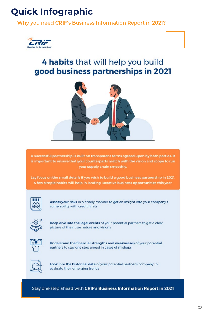# **Quick Infographic**

**Why you need CRIF's Business Information Report in 2021?**



### 4 habits that will help you build good business partnerships in 2021



A successful partnership is built on transparent terms agreed upon by both parties. It is important to ensure that your counterparts match with the vision and scope to run your supply chain smoothly.

Lay focus on the small details if you wish to build a good business partnership in 2021. A few simple habits will help in landing lucrative business opportunities this year.



Assess your risks in a timely manner to get an insight into your company's vulnerability with credit limits



Deep dive into the legal events of your potential partners to get a clear picture of their true nature and visions



Understand the financial strengths and weaknesses of your potential partners to stay one step ahead in cases of mishaps



Look into the historical data of your potential partner's company to evaluate their emerging trends

Stay one step ahead with CRIF's Business Information Report in 2021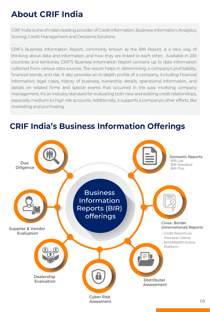### **About CRIF India**

CRIF India is one of India's leading provider of Credit Information, Business Information, Analytics, Scoring, Credit Management and Decisions Solutions.

CRIF's Business Information Report, commonly known as the BIR Report, is a new way of thinking about data and information and how they are linked to each other. Available in 230 countries and territories, CRIF'S Business Information Report contains up to date information collected from various data sources. The report helps in determining a company's profitability, financial trends, and risk. It also provides an in-depth profile of a company, including financial information, legal cases, history of business, ownership details, operational information, and details on related firms and special events that occurred in the past involving company management. It's an industry standard for evaluating both new and existing credit relationships, especially medium-to-high risk accounts. Additionally, it supports a company's other efforts, like marketing and purchasing.



### **CRIF India's Business Information Offerings**